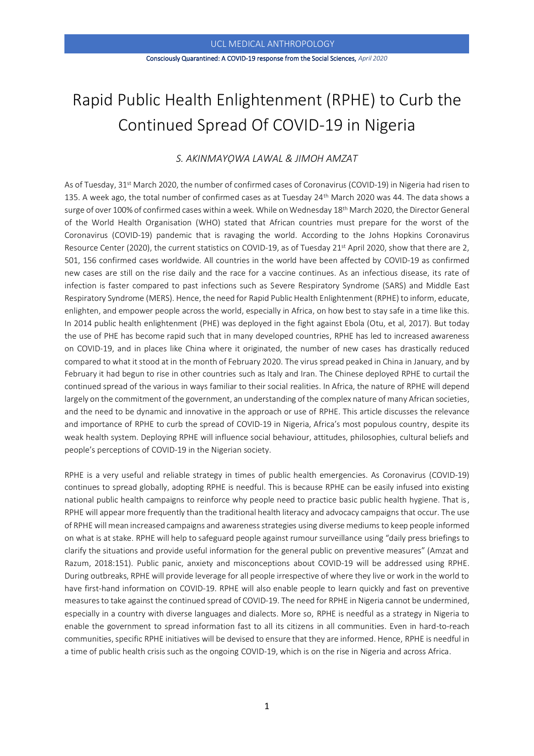### Consciously Quarantined: A COVID-19 response from the Social Sciences, *April 2020*

# Rapid Public Health Enlightenment (RPHE) to Curb the Continued Spread Of COVID-19 in Nigeria

# *S. AKINMAYỌWA LAWAL & JIMOH AMZAT*

As of Tuesday, 31<sup>st</sup> March 2020, the number of confirmed cases of Coronavirus (COVID-19) in Nigeria had risen to 135. A week ago, the total number of confirmed cases as at Tuesday 24<sup>th</sup> March 2020 was 44. The data shows a surge of over 100% of confirmed cases within a week. While on Wednesday 18th March 2020, the Director General of the World Health Organisation (WHO) stated that African countries must prepare for the worst of the Coronavirus (COVID-19) pandemic that is ravaging the world. According to the Johns Hopkins Coronavirus Resource Center (2020), the current statistics on COVID-19, as of Tuesday 21<sup>st</sup> April 2020, show that there are 2, 501, 156 confirmed cases worldwide. All countries in the world have been affected by COVID-19 as confirmed new cases are still on the rise daily and the race for a vaccine continues. As an infectious disease, its rate of infection is faster compared to past infections such as Severe Respiratory Syndrome (SARS) and Middle East Respiratory Syndrome (MERS). Hence, the need for Rapid Public Health Enlightenment (RPHE) to inform, educate, enlighten, and empower people across the world, especially in Africa, on how best to stay safe in a time like this. In 2014 public health enlightenment (PHE) was deployed in the fight against Ebola (Otu, et al, 2017). But today the use of PHE has become rapid such that in many developed countries, RPHE has led to increased awareness on COVID-19, and in places like China where it originated, the number of new cases has drastically reduced compared to what it stood at in the month of February 2020. The virus spread peaked in China in January, and by February it had begun to rise in other countries such as Italy and Iran. The Chinese deployed RPHE to curtail the continued spread of the various in ways familiar to their social realities. In Africa, the nature of RPHE will depend largely on the commitment of the government, an understanding of the complex nature of many African societies, and the need to be dynamic and innovative in the approach or use of RPHE. This article discusses the relevance and importance of RPHE to curb the spread of COVID-19 in Nigeria, Africa's most populous country, despite its weak health system. Deploying RPHE will influence social behaviour, attitudes, philosophies, cultural beliefs and people's perceptions of COVID-19 in the Nigerian society.

RPHE is a very useful and reliable strategy in times of public health emergencies. As Coronavirus (COVID-19) continues to spread globally, adopting RPHE is needful. This is because RPHE can be easily infused into existing national public health campaigns to reinforce why people need to practice basic public health hygiene. That is, RPHE will appear more frequently than the traditional health literacy and advocacy campaigns that occur. The use of RPHE will mean increased campaigns and awarenessstrategies using diverse mediums to keep people informed on what is at stake. RPHE will help to safeguard people against rumour surveillance using "daily press briefings to clarify the situations and provide useful information for the general public on preventive measures" (Amzat and Razum, 2018:151). Public panic, anxiety and misconceptions about COVID-19 will be addressed using RPHE. During outbreaks, RPHE will provide leverage for all people irrespective of where they live or work in the world to have first-hand information on COVID-19. RPHE will also enable people to learn quickly and fast on preventive measures to take against the continued spread of COVID-19. The need for RPHE in Nigeria cannot be undermined, especially in a country with diverse languages and dialects. More so, RPHE is needful as a strategy in Nigeria to enable the government to spread information fast to all its citizens in all communities. Even in hard-to-reach communities, specific RPHE initiatives will be devised to ensure that they are informed. Hence, RPHE is needful in a time of public health crisis such as the ongoing COVID-19, which is on the rise in Nigeria and across Africa.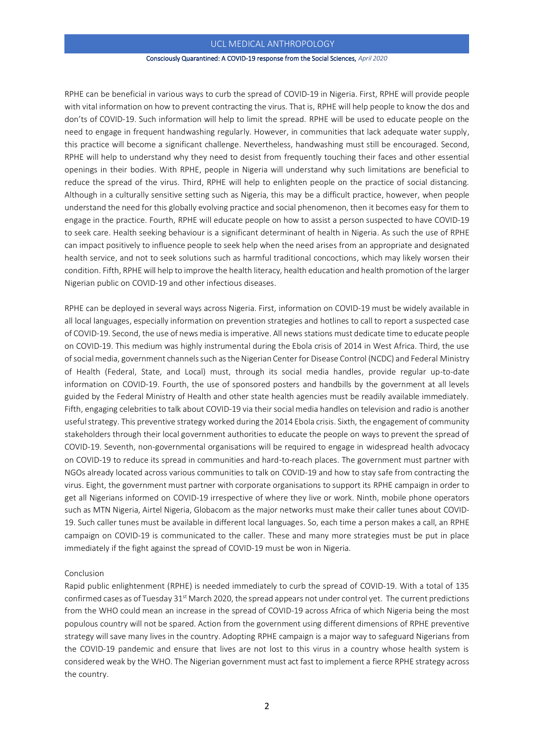# UCL MEDICAL ANTHROPOLOGY

#### Consciously Quarantined: A COVID-19 response from the Social Sciences, *April 2020*

RPHE can be beneficial in various ways to curb the spread of COVID-19 in Nigeria. First, RPHE will provide people with vital information on how to prevent contracting the virus. That is, RPHE will help people to know the dos and don'ts of COVID-19. Such information will help to limit the spread. RPHE will be used to educate people on the need to engage in frequent handwashing regularly. However, in communities that lack adequate water supply, this practice will become a significant challenge. Nevertheless, handwashing must still be encouraged. Second, RPHE will help to understand why they need to desist from frequently touching their faces and other essential openings in their bodies. With RPHE, people in Nigeria will understand why such limitations are beneficial to reduce the spread of the virus. Third, RPHE will help to enlighten people on the practice of social distancing. Although in a culturally sensitive setting such as Nigeria, this may be a difficult practice, however, when people understand the need for this globally evolving practice and social phenomenon, then it becomes easy for them to engage in the practice. Fourth, RPHE will educate people on how to assist a person suspected to have COVID-19 to seek care. Health seeking behaviour is a significant determinant of health in Nigeria. As such the use of RPHE can impact positively to influence people to seek help when the need arises from an appropriate and designated health service, and not to seek solutions such as harmful traditional concoctions, which may likely worsen their condition. Fifth, RPHE will help to improve the health literacy, health education and health promotion of the larger Nigerian public on COVID-19 and other infectious diseases.

RPHE can be deployed in several ways across Nigeria. First, information on COVID-19 must be widely available in all local languages, especially information on prevention strategies and hotlines to call to report a suspected case of COVID-19. Second, the use of news media is imperative. All news stations must dedicate time to educate people on COVID-19. This medium was highly instrumental during the Ebola crisis of 2014 in West Africa. Third, the use of social media, government channels such as the Nigerian Center for Disease Control (NCDC) and Federal Ministry of Health (Federal, State, and Local) must, through its social media handles, provide regular up-to-date information on COVID-19. Fourth, the use of sponsored posters and handbills by the government at all levels guided by the Federal Ministry of Health and other state health agencies must be readily available immediately. Fifth, engaging celebrities to talk about COVID-19 via their social media handles on television and radio is another useful strategy. This preventive strategy worked during the 2014 Ebola crisis. Sixth, the engagement of community stakeholders through their local government authorities to educate the people on ways to prevent the spread of COVID-19. Seventh, non-governmental organisations will be required to engage in widespread health advocacy on COVID-19 to reduce its spread in communities and hard-to-reach places. The government must partner with NGOs already located across various communities to talk on COVID-19 and how to stay safe from contracting the virus. Eight, the government must partner with corporate organisations to support its RPHE campaign in order to get all Nigerians informed on COVID-19 irrespective of where they live or work. Ninth, mobile phone operators such as MTN Nigeria, Airtel Nigeria, Globacom as the major networks must make their caller tunes about COVID-19. Such caller tunes must be available in different local languages. So, each time a person makes a call, an RPHE campaign on COVID-19 is communicated to the caller. These and many more strategies must be put in place immediately if the fight against the spread of COVID-19 must be won in Nigeria.

## Conclusion

Rapid public enlightenment (RPHE) is needed immediately to curb the spread of COVID-19. With a total of 135 confirmed cases as of Tuesday 31<sup>st</sup> March 2020, the spread appears not under control yet. The current predictions from the WHO could mean an increase in the spread of COVID-19 across Africa of which Nigeria being the most populous country will not be spared. Action from the government using different dimensions of RPHE preventive strategy will save many lives in the country. Adopting RPHE campaign is a major way to safeguard Nigerians from the COVID-19 pandemic and ensure that lives are not lost to this virus in a country whose health system is considered weak by the WHO. The Nigerian government must act fast to implement a fierce RPHE strategy across the country.